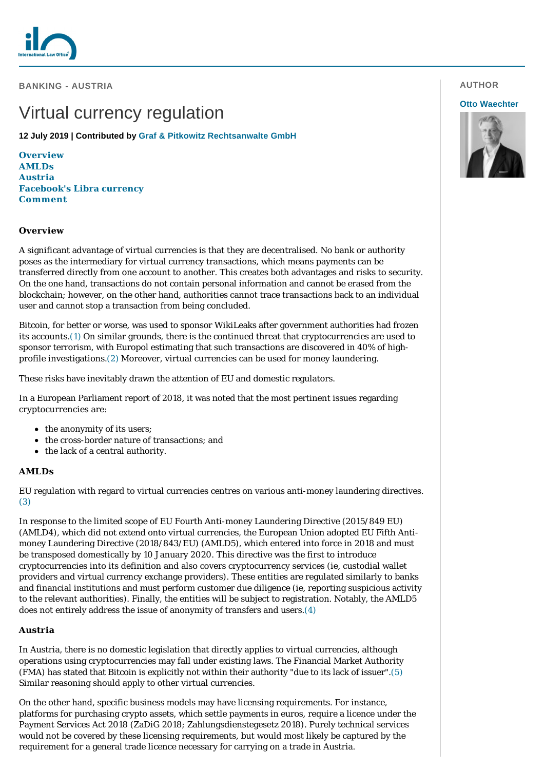**BANKING - AUSTRIA**

# Virtual currency regulation

**12 July 2019 | Contributed by [Graf & Pitkowitz Rechtsanwalte GmbH](https://www.internationallawoffice.com/gesr.ashx?l=8G1YF42)**

**[Overview](#page-0-0) [AMLDs](#page-0-1) [Austria](#page-0-2) [Facebook's Libra currency](#page-1-0) [Comment](#page-1-1)**

### <span id="page-0-0"></span>**Overview**

A significant advantage of virtual currencies is that they are decentralised. No bank or authority poses as the intermediary for virtual currency transactions, which means payments can be transferred directly from one account to another. This creates both advantages and risks to security. On the one hand, transactions do not contain personal information and cannot be erased from the blockchain; however, on the other hand, authorities cannot trace transactions back to an individual user and cannot stop a transaction from being concluded.

Bitcoin, for better or worse, was used to sponsor WikiLeaks after government authorities had frozen its accounts[.\(1\)](#page-1-2) On similar grounds, there is the continued threat that cryptocurrencies are used to sponsor terrorism, with Europol estimating that such transactions are discovered in 40% of highprofile investigations.[\(2\)](#page-1-3) Moreover, virtual currencies can be used for money laundering.

These risks have inevitably drawn the attention of EU and domestic regulators.

In a European Parliament report of 2018, it was noted that the most pertinent issues regarding cryptocurrencies are:

- the anonymity of its users;
- the cross-border nature of transactions; and
- the lack of a central authority.

### <span id="page-0-1"></span>**AMLDs**

EU regulation with regard to virtual currencies centres on various anti-money laundering directives. [\(3\)](#page-1-4)

In response to the limited scope of EU Fourth Anti-money Laundering Directive (2015/849 EU) (AMLD4), which did not extend onto virtual currencies, the European Union adopted EU Fifth Antimoney Laundering Directive (2018/843/EU) (AMLD5), which entered into force in 2018 and must be transposed domestically by 10 January 2020. This directive was the first to introduce cryptocurrencies into its definition and also covers cryptocurrency services (ie, custodial wallet providers and virtual currency exchange providers). These entities are regulated similarly to banks and financial institutions and must perform customer due diligence (ie, reporting suspicious activity to the relevant authorities). Finally, the entities will be subject to registration. Notably, the AMLD5 does not entirely address the issue of anonymity of transfers and users.[\(4\)](#page-1-5)

### <span id="page-0-2"></span>**Austria**

In Austria, there is no domestic legislation that directly applies to virtual currencies, although operations using cryptocurrencies may fall under existing laws. The Financial Market Authority (FMA) has stated that Bitcoin is explicitly not within their authority "due to its lack of issuer".[\(5\)](#page-1-6) Similar reasoning should apply to other virtual currencies.

On the other hand, specific business models may have licensing requirements. For instance, platforms for purchasing crypto assets, which settle payments in euros, require a licence under the Payment Services Act 2018 (ZaDiG 2018; Zahlungsdienstegesetz 2018). Purely technical services would not be covered by these licensing requirements, but would most likely be captured by the requirement for a general trade licence necessary for carrying on a trade in Austria.

### **AUTHOR**

#### **[Otto Waechter](https://www.internationallawoffice.com/gesr.ashx?l=8G1YF51)**

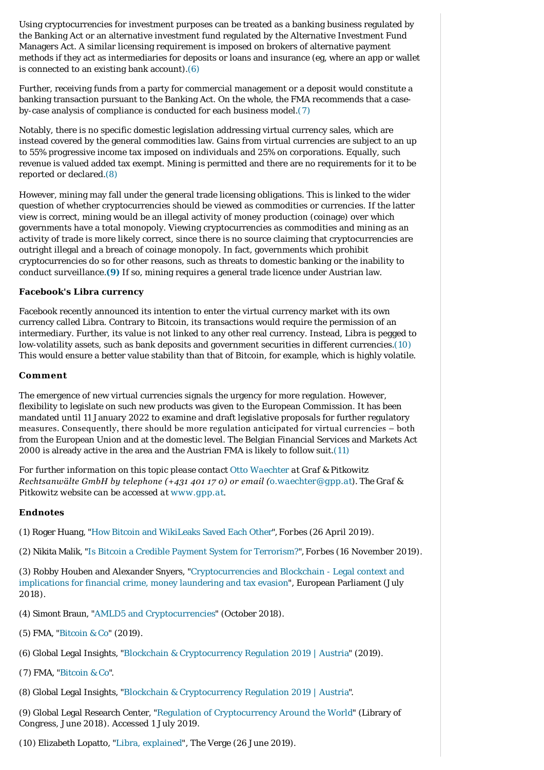Using cryptocurrencies for investment purposes can be treated as a banking business regulated by the Banking Act or an alternative investment fund regulated by the Alternative Investment Fund Managers Act. A similar licensing requirement is imposed on brokers of alternative payment methods if they act as intermediaries for deposits or loans and insurance (eg, where an app or wallet is connected to an existing bank account)[.\(6\)](#page-1-7)

Further, receiving funds from a party for commercial management or a deposit would constitute a banking transaction pursuant to the Banking Act. On the whole, the FMA recommends that a caseby-case analysis of compliance is conducted for each business model.[\(7\)](#page-1-8)

Notably, there is no specific domestic legislation addressing virtual currency sales, which are instead covered by the general commodities law. Gains from virtual currencies are subject to an up to 55% progressive income tax imposed on individuals and 25% on corporations. Equally, such revenue is valued added tax exempt. Mining is permitted and there are no requirements for it to be reported or declared[.\(8\)](#page-1-9)

However, mining may fall under the general trade licensing obligations. This is linked to the wider question of whether cryptocurrencies should be viewed as commodities or currencies. If the latter view is correct, mining would be an illegal activity of money production (coinage) over which governments have a total monopoly. Viewing cryptocurrencies as commodities and mining as an activity of trade is more likely correct, since there is no source claiming that cryptocurrencies are outright illegal and a breach of coinage monopoly. In fact, governments which prohibit cryptocurrencies do so for other reasons, such as threats to domestic banking or the inability to conduct surveillance.**[\(9\)](#page-1-10)** If so, mining requires a general trade licence under Austrian law.

# <span id="page-1-0"></span>**Facebook's Libra currency**

Facebook recently announced its intention to enter the virtual currency market with its own currency called Libra. Contrary to Bitcoin, its transactions would require the permission of an intermediary. Further, its value is not linked to any other real currency. Instead, Libra is pegged to low-volatility assets, such as bank deposits and government securities in different currencies[.\(10\)](#page-1-11) This would ensure a better value stability than that of Bitcoin, for example, which is highly volatile.

# <span id="page-1-1"></span>**Comment**

The emergence of new virtual currencies signals the urgency for more regulation. However, flexibility to legislate on such new products was given to the European Commission. It has been mandated until 11 January 2022 to examine and draft legislative proposals for further regulatory measures. Consequently, there should be more regulation anticipated for virtual currencies – both from the European Union and at the domestic level. The Belgian Financial Services and Markets Act 2000 is already active in the area and the Austrian FMA is likely to follow suit.[\(11\)](#page-2-0)

*For further information on this topic please contact [Otto Waechter a](https://www.internationallawoffice.com/gesr.ashx?l=8G6Z2UQ)t Graf & Pitkowitz Rechtsanwälte GmbH by telephone (+431 401 17 0) or email ([o.waechter@gpp.at\)](mailto:o.waechter@gpp.at). The Graf & Pitkowitz website can be accessed at [www.gpp.at](https://www.internationallawoffice.com/gesr.ashx?l=8G1YF48).*

### **Endnotes**

<span id="page-1-2"></span>(1) Roger Huang, "[How Bitcoin and WikiLeaks Saved Each Other](https://www.internationallawoffice.com/gesr.ashx?l=8G1YF4B)", *Forbes* (26 April 2019).

<span id="page-1-3"></span>(2) Nikita Malik, ["Is Bitcoin a Credible Payment System for Terrorism?](https://www.internationallawoffice.com/gesr.ashx?l=8G1YF4E)", *Forbes* (16 November 2019).

<span id="page-1-4"></span>[\(3\) Robby Houben and Alexander Snyers, "Cryptocurrencies and Blockchain - Legal context and](https://www.internationallawoffice.com/gesr.ashx?l=8G1YF4H) implications for financial crime, money laundering and tax evasion", European Parliament (July 2018).

<span id="page-1-5"></span>(4) Simont Braun, ["AMLD5 and Cryptocurrencies](https://www.internationallawoffice.com/gesr.ashx?l=8G1YF4L)" (October 2018).

<span id="page-1-6"></span>(5) FMA, "[Bitcoin & Co](https://www.internationallawoffice.com/gesr.ashx?l=8G1YF4P)" (2019).

- <span id="page-1-7"></span>(6) Global Legal Insights, ["Blockchain & Cryptocurrency Regulation 2019 | Austria](https://www.internationallawoffice.com/gesr.ashx?l=8G1YF4S)" (2019).
- <span id="page-1-8"></span>(7) FMA, "[Bitcoin & Co](https://www.internationallawoffice.com/gesr.ashx?l=8G1YF4P)"*.*

<span id="page-1-9"></span>(8) Global Legal Insights, ["Blockchain & Cryptocurrency Regulation 2019 | Austria](https://www.internationallawoffice.com/gesr.ashx?l=8G1YF4S)"*.*

<span id="page-1-10"></span>(9) Global Legal Research Center, "[Regulation of Cryptocurrency Around the World](https://www.internationallawoffice.com/gesr.ashx?l=8G6Z2UZ)" (Library of Congress, June 2018). Accessed 1 July 2019.

<span id="page-1-11"></span>(10) Elizabeth Lopatto, "[Libra, explained"](https://www.internationallawoffice.com/gesr.ashx?l=8G1YF4V), The Verge (26 June 2019).